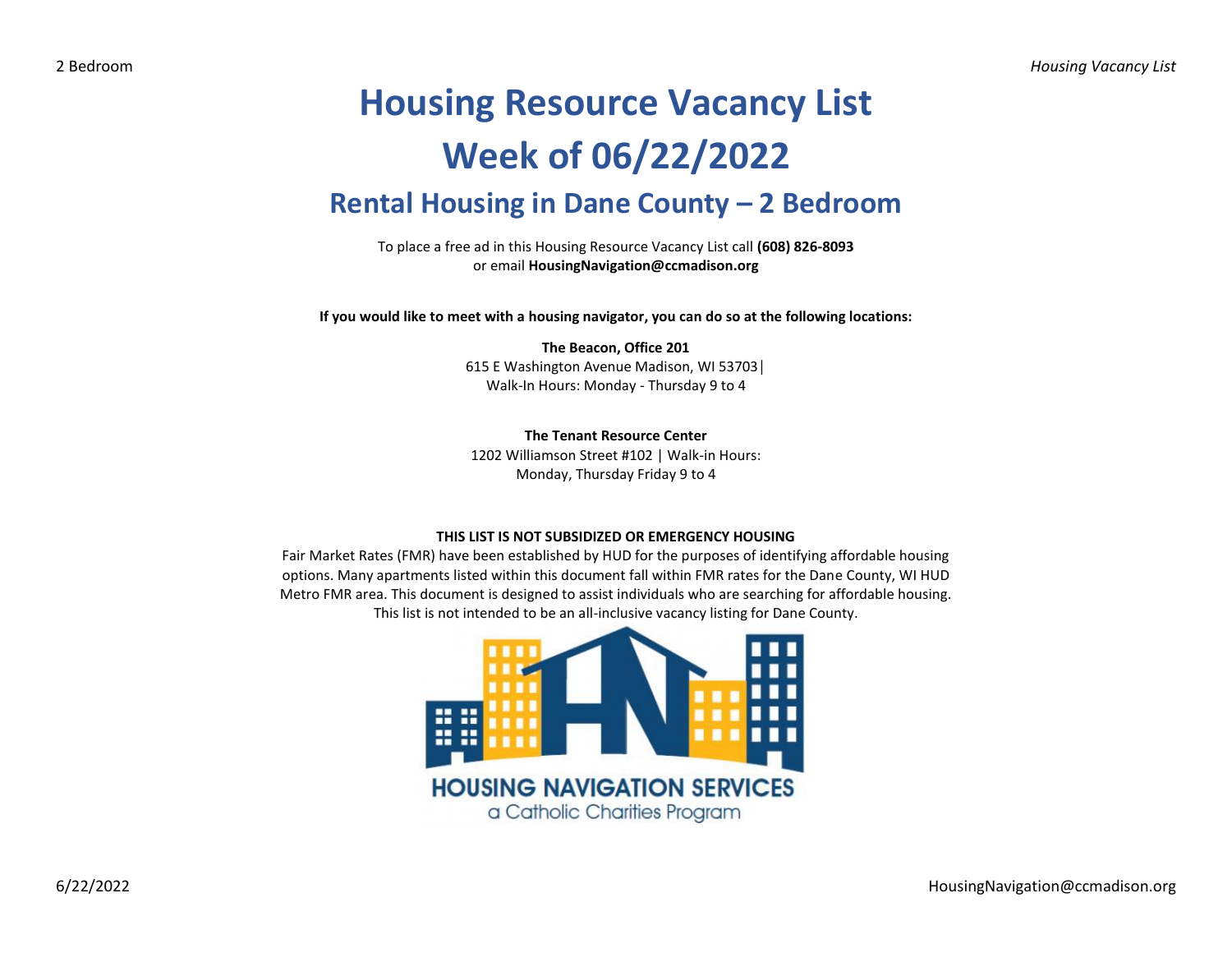## **Housing Resource Vacancy List Week of 06/22/2022 Rental Housing in Dane County – 2 Bedroom**

To place a free ad in this Housing Resource Vacancy List call **(608) 826-8093** or email **HousingNavigation@ccmadison.org**

**If you would like to meet with a housing navigator, you can do so at the following locations:**

## **The Beacon, Office 201** 615 E Washington Avenue Madison, WI 53703│ Walk-In Hours: Monday - Thursday 9 to 4

**The Tenant Resource Center**

1202 Williamson Street #102 | Walk-in Hours: Monday, Thursday Friday 9 to 4

## **THIS LIST IS NOT SUBSIDIZED OR EMERGENCY HOUSING**

Fair Market Rates (FMR) have been established by HUD for the purposes of identifying affordable housing options. Many apartments listed within this document fall within FMR rates for the Dane County, WI HUD Metro FMR area. This document is designed to assist individuals who are searching for affordable housing. This list is not intended to be an all-inclusive vacancy listing for Dane County.

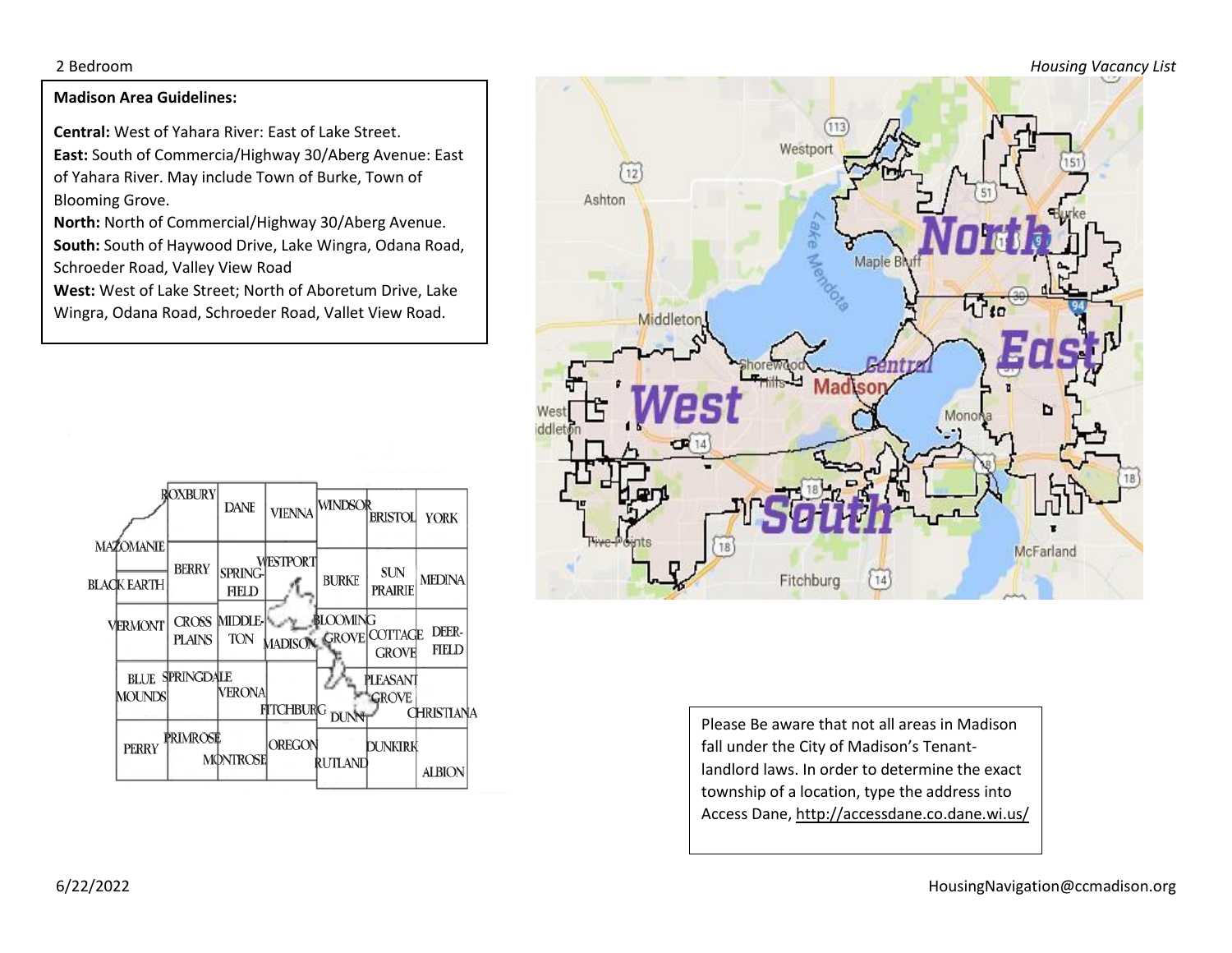2 Bedroom *Housing Vacancy List*

## **Madison Area Guidelines:**

**Central:** West of Yahara River: East of Lake Street. **East:** South of Commercia/Highway 30/Aberg Avenue: East of Yahara River. May include Town of Burke, Town of Blooming Grove.

**North:** North of Commercial/Highway 30/Aberg Avenue. **South:** South of Haywood Drive, Lake Wingra, Odana Road, Schroeder Road, Valley View Road

**West:** West of Lake Street; North of Aboretum Drive, Lake Wingra, Odana Road, Schroeder Road, Vallet View Road.





Please Be aware that not all areas in Madison fall under the City of Madison's Tenantlandlord laws. In order to determine the exact township of a location, type the address into Access Dane, http://accessdane.co.dane.wi.us/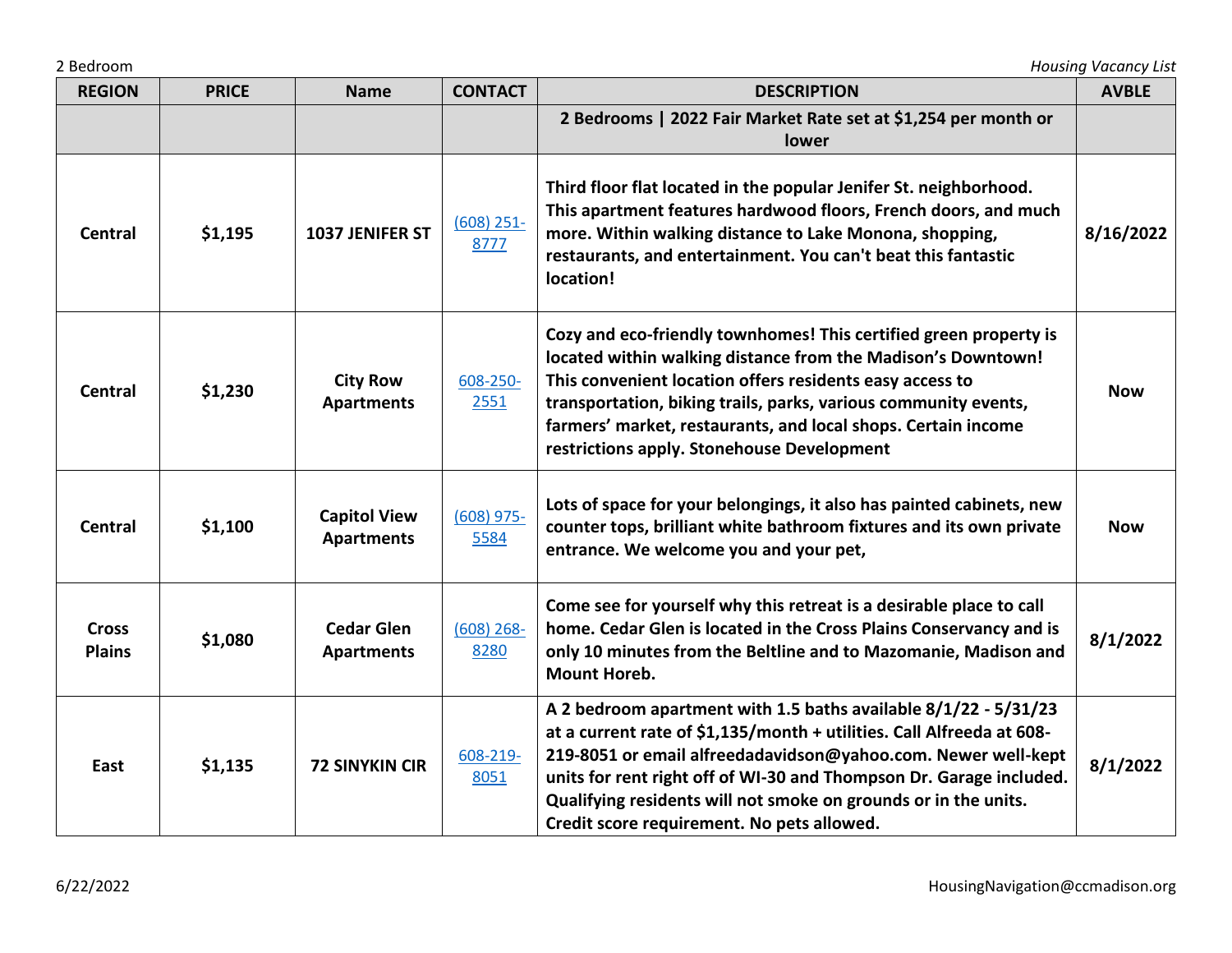| 2 Bedroom                     |              |                                          |                      | <b>Housing Vacancy List</b>                                                                                                                                                                                                                                                                                                                                                                       |              |  |
|-------------------------------|--------------|------------------------------------------|----------------------|---------------------------------------------------------------------------------------------------------------------------------------------------------------------------------------------------------------------------------------------------------------------------------------------------------------------------------------------------------------------------------------------------|--------------|--|
| <b>REGION</b>                 | <b>PRICE</b> | <b>Name</b>                              | <b>CONTACT</b>       | <b>DESCRIPTION</b>                                                                                                                                                                                                                                                                                                                                                                                | <b>AVBLE</b> |  |
|                               |              |                                          |                      | 2 Bedrooms   2022 Fair Market Rate set at \$1,254 per month or<br>lower                                                                                                                                                                                                                                                                                                                           |              |  |
| <b>Central</b>                | \$1,195      | 1037 JENIFER ST                          | $(608)$ 251-<br>8777 | Third floor flat located in the popular Jenifer St. neighborhood.<br>This apartment features hardwood floors, French doors, and much<br>more. Within walking distance to Lake Monona, shopping,<br>restaurants, and entertainment. You can't beat this fantastic<br>location!                                                                                                                     | 8/16/2022    |  |
| <b>Central</b>                | \$1,230      | <b>City Row</b><br><b>Apartments</b>     | 608-250-<br>2551     | Cozy and eco-friendly townhomes! This certified green property is<br>located within walking distance from the Madison's Downtown!<br>This convenient location offers residents easy access to<br>transportation, biking trails, parks, various community events,<br>farmers' market, restaurants, and local shops. Certain income<br>restrictions apply. Stonehouse Development                   | <b>Now</b>   |  |
| <b>Central</b>                | \$1,100      | <b>Capitol View</b><br><b>Apartments</b> | $(608)$ 975-<br>5584 | Lots of space for your belongings, it also has painted cabinets, new<br>counter tops, brilliant white bathroom fixtures and its own private<br>entrance. We welcome you and your pet,                                                                                                                                                                                                             | <b>Now</b>   |  |
| <b>Cross</b><br><b>Plains</b> | \$1,080      | <b>Cedar Glen</b><br><b>Apartments</b>   | $(608)$ 268-<br>8280 | Come see for yourself why this retreat is a desirable place to call<br>home. Cedar Glen is located in the Cross Plains Conservancy and is<br>only 10 minutes from the Beltline and to Mazomanie, Madison and<br><b>Mount Horeb.</b>                                                                                                                                                               | 8/1/2022     |  |
| East                          | \$1,135      | <b>72 SINYKIN CIR</b>                    | 608-219-<br>8051     | A 2 bedroom apartment with 1.5 baths available 8/1/22 - 5/31/23<br>at a current rate of \$1,135/month + utilities. Call Alfreeda at 608-<br>219-8051 or email alfreedadavidson@yahoo.com. Newer well-kept<br>units for rent right off of WI-30 and Thompson Dr. Garage included.<br>Qualifying residents will not smoke on grounds or in the units.<br>Credit score requirement. No pets allowed. | 8/1/2022     |  |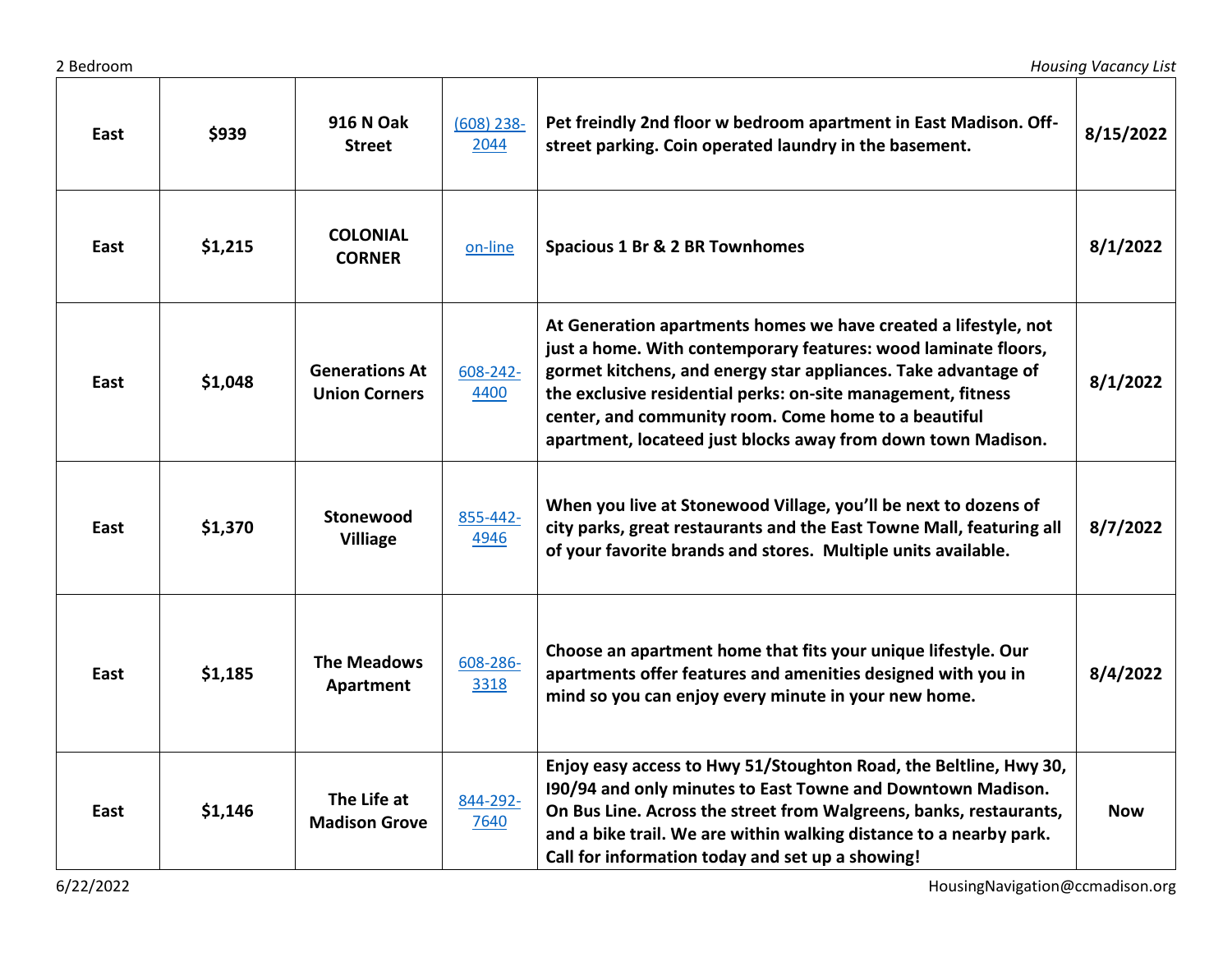| East | \$939   | <b>916 N Oak</b><br><b>Street</b>             | $(608)$ 238-<br>2044 | Pet freindly 2nd floor w bedroom apartment in East Madison. Off-<br>street parking. Coin operated laundry in the basement.                                                                                                                                                                                                                                                                  | 8/15/2022  |
|------|---------|-----------------------------------------------|----------------------|---------------------------------------------------------------------------------------------------------------------------------------------------------------------------------------------------------------------------------------------------------------------------------------------------------------------------------------------------------------------------------------------|------------|
| East | \$1,215 | <b>COLONIAL</b><br><b>CORNER</b>              | on-line              | <b>Spacious 1 Br &amp; 2 BR Townhomes</b>                                                                                                                                                                                                                                                                                                                                                   | 8/1/2022   |
| East | \$1,048 | <b>Generations At</b><br><b>Union Corners</b> | 608-242-<br>4400     | At Generation apartments homes we have created a lifestyle, not<br>just a home. With contemporary features: wood laminate floors,<br>gormet kitchens, and energy star appliances. Take advantage of<br>the exclusive residential perks: on-site management, fitness<br>center, and community room. Come home to a beautiful<br>apartment, locateed just blocks away from down town Madison. | 8/1/2022   |
| East | \$1,370 | Stonewood<br><b>Villiage</b>                  | 855-442-<br>4946     | When you live at Stonewood Village, you'll be next to dozens of<br>city parks, great restaurants and the East Towne Mall, featuring all<br>of your favorite brands and stores. Multiple units available.                                                                                                                                                                                    | 8/7/2022   |
| East | \$1,185 | <b>The Meadows</b><br>Apartment               | 608-286-<br>3318     | Choose an apartment home that fits your unique lifestyle. Our<br>apartments offer features and amenities designed with you in<br>mind so you can enjoy every minute in your new home.                                                                                                                                                                                                       | 8/4/2022   |
| East | \$1,146 | The Life at<br><b>Madison Grove</b>           | 844-292-<br>7640     | Enjoy easy access to Hwy 51/Stoughton Road, the Beltline, Hwy 30,<br>190/94 and only minutes to East Towne and Downtown Madison.<br>On Bus Line. Across the street from Walgreens, banks, restaurants,<br>and a bike trail. We are within walking distance to a nearby park.<br>Call for information today and set up a showing!                                                            | <b>Now</b> |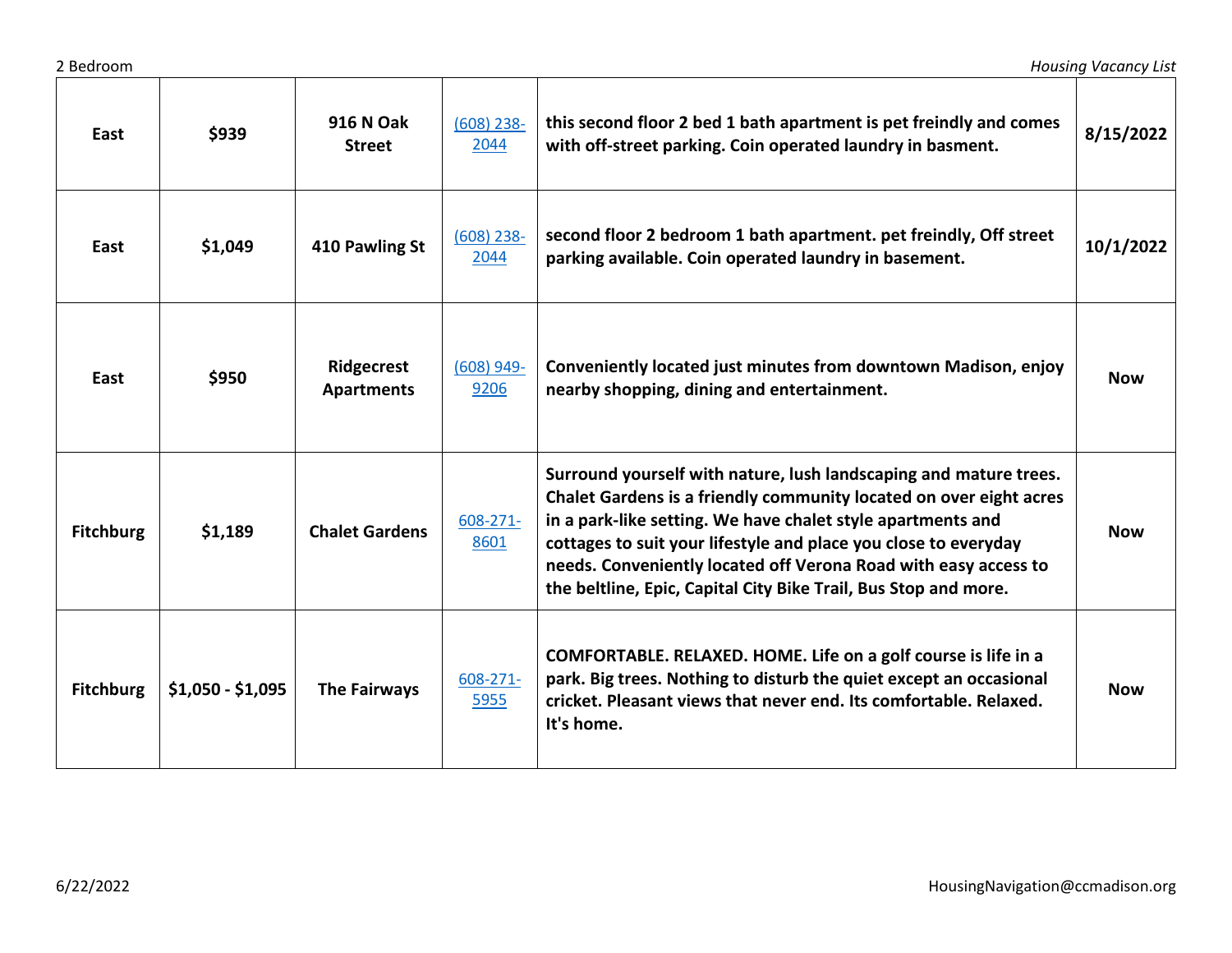| East             | \$939             | <b>916 N Oak</b><br><b>Street</b> | $(608)$ 238-<br>2044 | this second floor 2 bed 1 bath apartment is pet freindly and comes<br>with off-street parking. Coin operated laundry in basment.                                                                                                                                                                                                                                                                                | 8/15/2022  |
|------------------|-------------------|-----------------------------------|----------------------|-----------------------------------------------------------------------------------------------------------------------------------------------------------------------------------------------------------------------------------------------------------------------------------------------------------------------------------------------------------------------------------------------------------------|------------|
| East             | \$1,049           | 410 Pawling St                    | $(608)$ 238-<br>2044 | second floor 2 bedroom 1 bath apartment. pet freindly, Off street<br>parking available. Coin operated laundry in basement.                                                                                                                                                                                                                                                                                      | 10/1/2022  |
| East             | \$950             | Ridgecrest<br><b>Apartments</b>   | $(608)$ 949-<br>9206 | Conveniently located just minutes from downtown Madison, enjoy<br>nearby shopping, dining and entertainment.                                                                                                                                                                                                                                                                                                    | <b>Now</b> |
| <b>Fitchburg</b> | \$1,189           | <b>Chalet Gardens</b>             | 608-271-<br>8601     | Surround yourself with nature, lush landscaping and mature trees.<br>Chalet Gardens is a friendly community located on over eight acres<br>in a park-like setting. We have chalet style apartments and<br>cottages to suit your lifestyle and place you close to everyday<br>needs. Conveniently located off Verona Road with easy access to<br>the beltline, Epic, Capital City Bike Trail, Bus Stop and more. | <b>Now</b> |
| <b>Fitchburg</b> | $$1,050 - $1,095$ | The Fairways                      | 608-271-<br>5955     | COMFORTABLE. RELAXED. HOME. Life on a golf course is life in a<br>park. Big trees. Nothing to disturb the quiet except an occasional<br>cricket. Pleasant views that never end. Its comfortable. Relaxed.<br>It's home.                                                                                                                                                                                         | <b>Now</b> |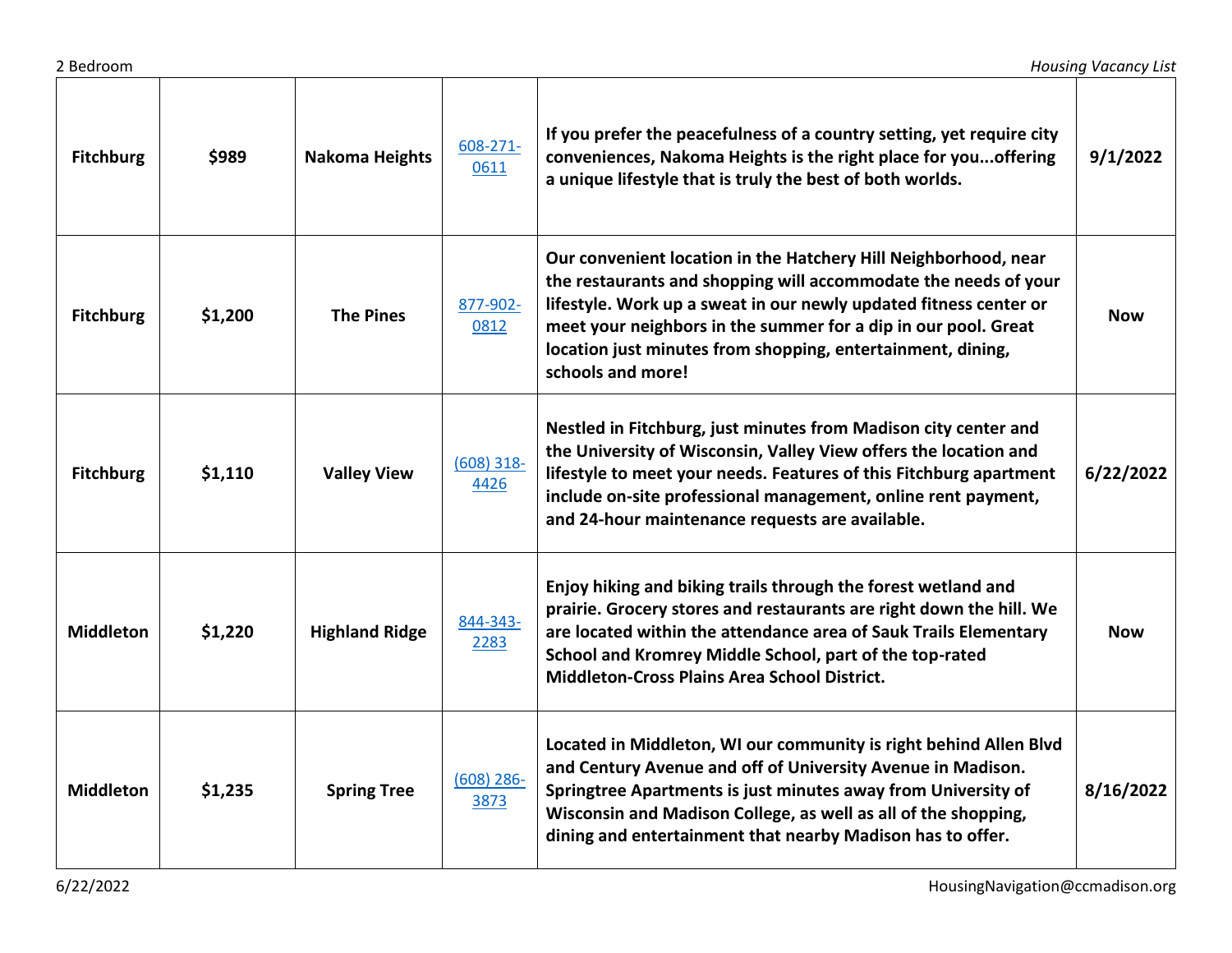| <b>Fitchburg</b> | \$989   | <b>Nakoma Heights</b> | 608-271-<br>0611     | If you prefer the peacefulness of a country setting, yet require city<br>conveniences, Nakoma Heights is the right place for you offering<br>a unique lifestyle that is truly the best of both worlds.                                                                                                                                                        | 9/1/2022   |
|------------------|---------|-----------------------|----------------------|---------------------------------------------------------------------------------------------------------------------------------------------------------------------------------------------------------------------------------------------------------------------------------------------------------------------------------------------------------------|------------|
| <b>Fitchburg</b> | \$1,200 | <b>The Pines</b>      | 877-902-<br>0812     | Our convenient location in the Hatchery Hill Neighborhood, near<br>the restaurants and shopping will accommodate the needs of your<br>lifestyle. Work up a sweat in our newly updated fitness center or<br>meet your neighbors in the summer for a dip in our pool. Great<br>location just minutes from shopping, entertainment, dining,<br>schools and more! | <b>Now</b> |
| <b>Fitchburg</b> | \$1,110 | <b>Valley View</b>    | $(608)$ 318-<br>4426 | Nestled in Fitchburg, just minutes from Madison city center and<br>the University of Wisconsin, Valley View offers the location and<br>lifestyle to meet your needs. Features of this Fitchburg apartment<br>include on-site professional management, online rent payment,<br>and 24-hour maintenance requests are available.                                 | 6/22/2022  |
| <b>Middleton</b> | \$1,220 | <b>Highland Ridge</b> | 844-343-<br>2283     | Enjoy hiking and biking trails through the forest wetland and<br>prairie. Grocery stores and restaurants are right down the hill. We<br>are located within the attendance area of Sauk Trails Elementary<br>School and Kromrey Middle School, part of the top-rated<br><b>Middleton-Cross Plains Area School District.</b>                                    | <b>Now</b> |
| <b>Middleton</b> | \$1,235 | <b>Spring Tree</b>    | $(608)$ 286-<br>3873 | Located in Middleton, WI our community is right behind Allen Blvd<br>and Century Avenue and off of University Avenue in Madison.<br>Springtree Apartments is just minutes away from University of<br>Wisconsin and Madison College, as well as all of the shopping,<br>dining and entertainment that nearby Madison has to offer.                             | 8/16/2022  |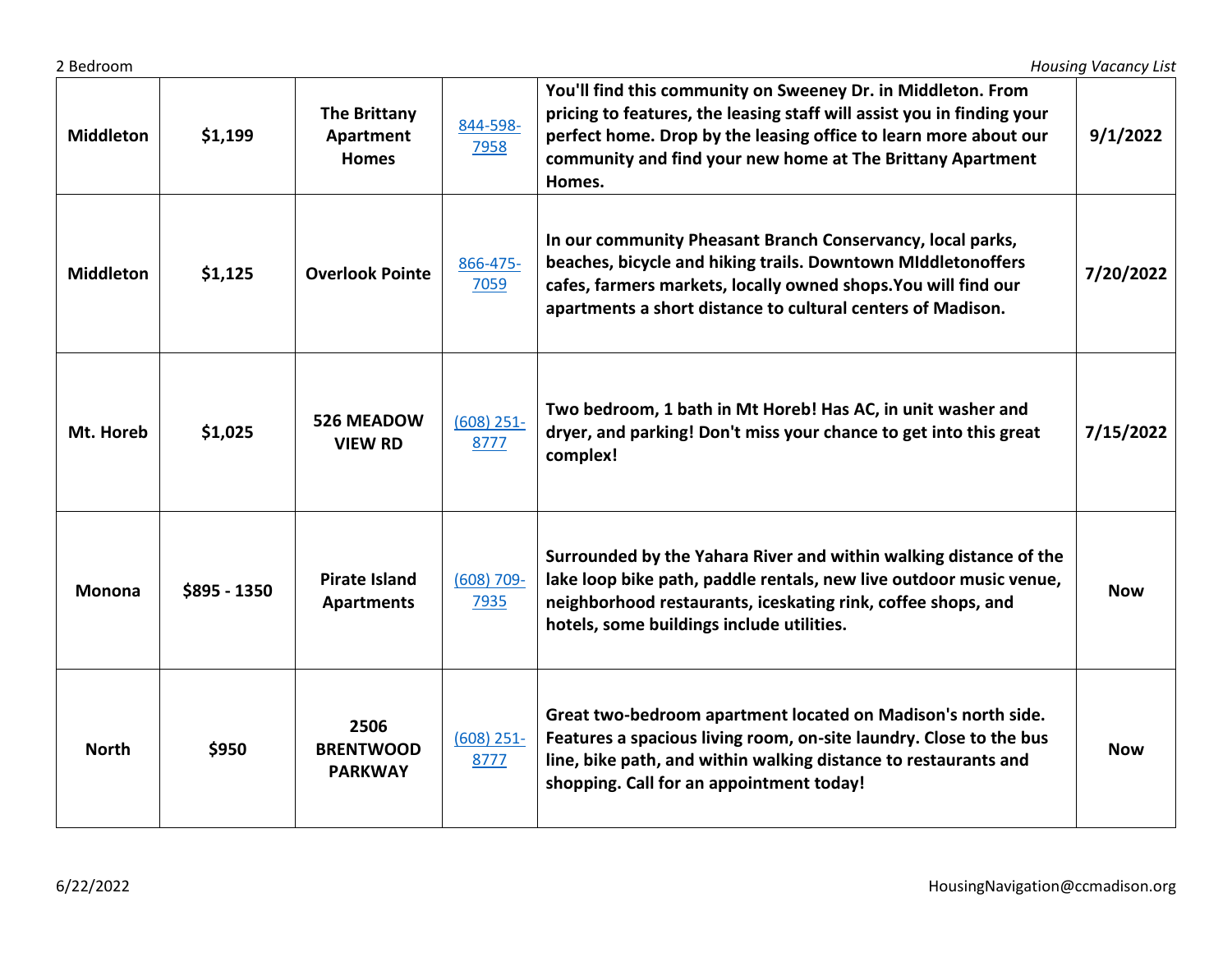| <b>Middleton</b> | \$1,199      | <b>The Brittany</b><br>Apartment<br><b>Homes</b> | 844-598-<br>7958      | You'll find this community on Sweeney Dr. in Middleton. From<br>pricing to features, the leasing staff will assist you in finding your<br>perfect home. Drop by the leasing office to learn more about our<br>community and find your new home at The Brittany Apartment<br>Homes. | 9/1/2022   |
|------------------|--------------|--------------------------------------------------|-----------------------|------------------------------------------------------------------------------------------------------------------------------------------------------------------------------------------------------------------------------------------------------------------------------------|------------|
| <b>Middleton</b> | \$1,125      | <b>Overlook Pointe</b>                           | 866-475-<br>7059      | In our community Pheasant Branch Conservancy, local parks,<br>beaches, bicycle and hiking trails. Downtown MIddletonoffers<br>cafes, farmers markets, locally owned shops. You will find our<br>apartments a short distance to cultural centers of Madison.                        | 7/20/2022  |
| Mt. Horeb        | \$1,025      | <b>526 MEADOW</b><br><b>VIEW RD</b>              | $(608)$ 251-<br>8777  | Two bedroom, 1 bath in Mt Horeb! Has AC, in unit washer and<br>dryer, and parking! Don't miss your chance to get into this great<br>complex!                                                                                                                                       | 7/15/2022  |
| <b>Monona</b>    | \$895 - 1350 | <b>Pirate Island</b><br><b>Apartments</b>        | $(608) 709 -$<br>7935 | Surrounded by the Yahara River and within walking distance of the<br>lake loop bike path, paddle rentals, new live outdoor music venue,<br>neighborhood restaurants, iceskating rink, coffee shops, and<br>hotels, some buildings include utilities.                               | <b>Now</b> |
| <b>North</b>     | \$950        | 2506<br><b>BRENTWOOD</b><br><b>PARKWAY</b>       | $(608)$ 251-<br>8777  | Great two-bedroom apartment located on Madison's north side.<br>Features a spacious living room, on-site laundry. Close to the bus<br>line, bike path, and within walking distance to restaurants and<br>shopping. Call for an appointment today!                                  | <b>Now</b> |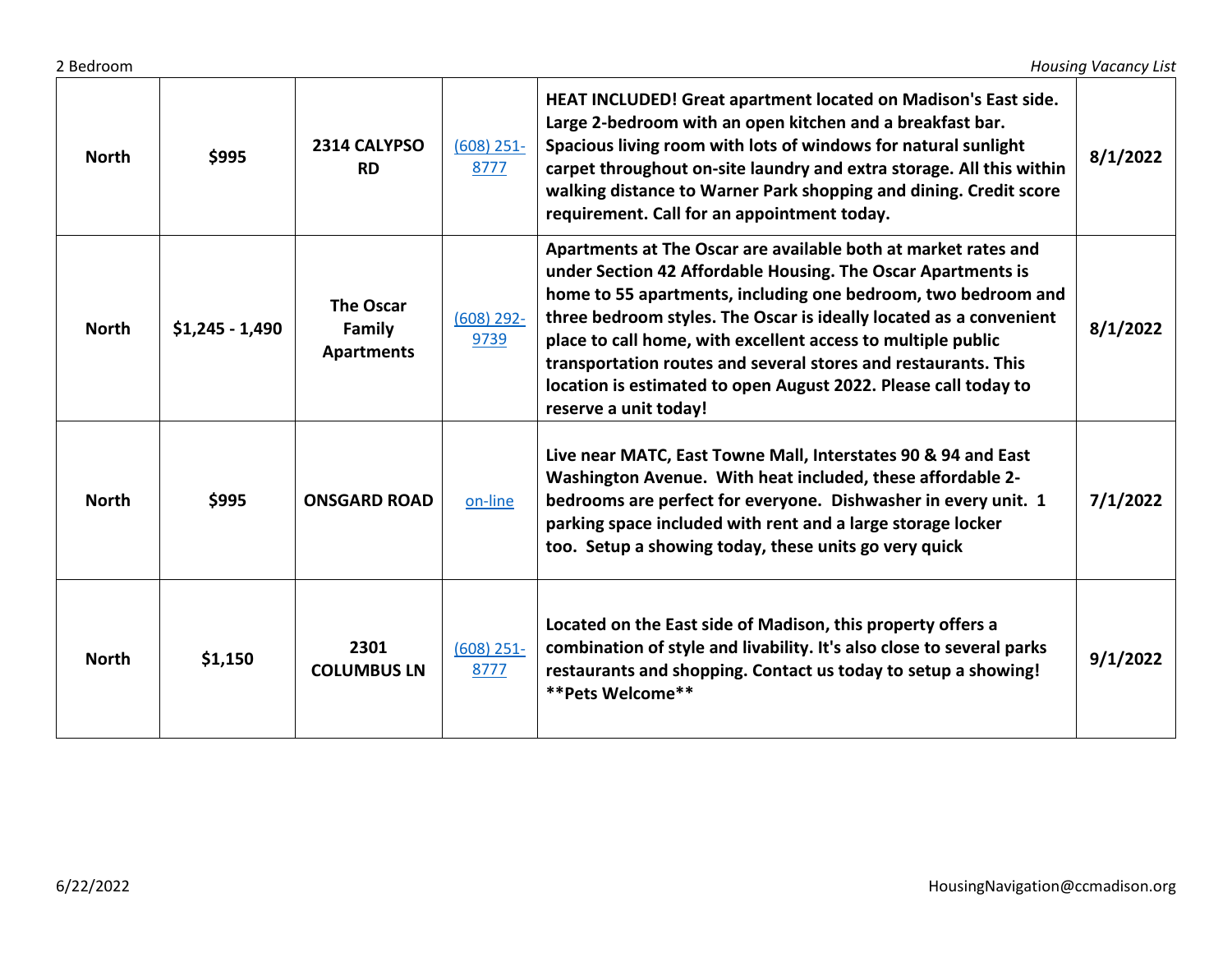| <b>North</b> | \$995            | 2314 CALYPSO<br><b>RD</b>                       | $(608)$ 251-<br>8777 | HEAT INCLUDED! Great apartment located on Madison's East side.<br>Large 2-bedroom with an open kitchen and a breakfast bar.<br>Spacious living room with lots of windows for natural sunlight<br>carpet throughout on-site laundry and extra storage. All this within<br>walking distance to Warner Park shopping and dining. Credit score<br>requirement. Call for an appointment today.                                                                                                           | 8/1/2022 |
|--------------|------------------|-------------------------------------------------|----------------------|-----------------------------------------------------------------------------------------------------------------------------------------------------------------------------------------------------------------------------------------------------------------------------------------------------------------------------------------------------------------------------------------------------------------------------------------------------------------------------------------------------|----------|
| <b>North</b> | $$1,245 - 1,490$ | <b>The Oscar</b><br>Family<br><b>Apartments</b> | $(608)$ 292-<br>9739 | Apartments at The Oscar are available both at market rates and<br>under Section 42 Affordable Housing. The Oscar Apartments is<br>home to 55 apartments, including one bedroom, two bedroom and<br>three bedroom styles. The Oscar is ideally located as a convenient<br>place to call home, with excellent access to multiple public<br>transportation routes and several stores and restaurants. This<br>location is estimated to open August 2022. Please call today to<br>reserve a unit today! | 8/1/2022 |
| <b>North</b> | \$995            | <b>ONSGARD ROAD</b>                             | on-line              | Live near MATC, East Towne Mall, Interstates 90 & 94 and East<br>Washington Avenue. With heat included, these affordable 2-<br>bedrooms are perfect for everyone. Dishwasher in every unit. 1<br>parking space included with rent and a large storage locker<br>too. Setup a showing today, these units go very quick                                                                                                                                                                               | 7/1/2022 |
| <b>North</b> | \$1,150          | 2301<br><b>COLUMBUS LN</b>                      | $(608)$ 251-<br>8777 | Located on the East side of Madison, this property offers a<br>combination of style and livability. It's also close to several parks<br>restaurants and shopping. Contact us today to setup a showing!<br>**Pets Welcome**                                                                                                                                                                                                                                                                          | 9/1/2022 |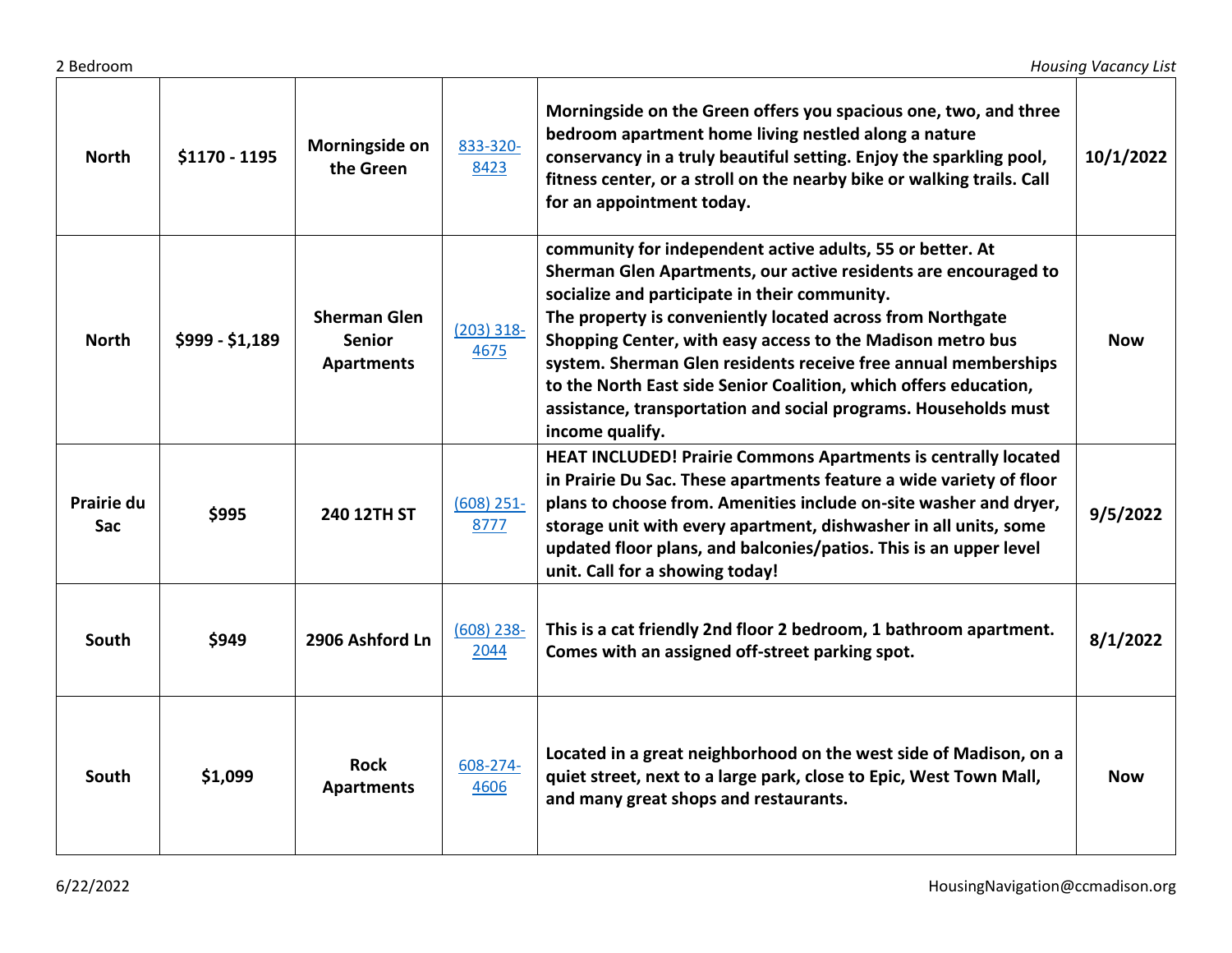| <b>North</b>      | \$1170 - 1195   | Morningside on<br>the Green                               | 833-320-<br>8423     | Morningside on the Green offers you spacious one, two, and three<br>bedroom apartment home living nestled along a nature<br>conservancy in a truly beautiful setting. Enjoy the sparkling pool,<br>fitness center, or a stroll on the nearby bike or walking trails. Call<br>for an appointment today.                                                                                                                                                                                                                                | 10/1/2022  |
|-------------------|-----------------|-----------------------------------------------------------|----------------------|---------------------------------------------------------------------------------------------------------------------------------------------------------------------------------------------------------------------------------------------------------------------------------------------------------------------------------------------------------------------------------------------------------------------------------------------------------------------------------------------------------------------------------------|------------|
| <b>North</b>      | $$999 - $1,189$ | <b>Sherman Glen</b><br><b>Senior</b><br><b>Apartments</b> | $(203)$ 318-<br>4675 | community for independent active adults, 55 or better. At<br>Sherman Glen Apartments, our active residents are encouraged to<br>socialize and participate in their community.<br>The property is conveniently located across from Northgate<br>Shopping Center, with easy access to the Madison metro bus<br>system. Sherman Glen residents receive free annual memberships<br>to the North East side Senior Coalition, which offers education,<br>assistance, transportation and social programs. Households must<br>income qualify. | <b>Now</b> |
| Prairie du<br>Sac | \$995           | 240 12TH ST                                               | $(608)$ 251-<br>8777 | HEAT INCLUDED! Prairie Commons Apartments is centrally located<br>in Prairie Du Sac. These apartments feature a wide variety of floor<br>plans to choose from. Amenities include on-site washer and dryer,<br>storage unit with every apartment, dishwasher in all units, some<br>updated floor plans, and balconies/patios. This is an upper level<br>unit. Call for a showing today!                                                                                                                                                | 9/5/2022   |
| South             | \$949           | 2906 Ashford Ln                                           | $(608)$ 238-<br>2044 | This is a cat friendly 2nd floor 2 bedroom, 1 bathroom apartment.<br>Comes with an assigned off-street parking spot.                                                                                                                                                                                                                                                                                                                                                                                                                  | 8/1/2022   |
| South             | \$1,099         | <b>Rock</b><br><b>Apartments</b>                          | 608-274-<br>4606     | Located in a great neighborhood on the west side of Madison, on a<br>quiet street, next to a large park, close to Epic, West Town Mall,<br>and many great shops and restaurants.                                                                                                                                                                                                                                                                                                                                                      | <b>Now</b> |

┱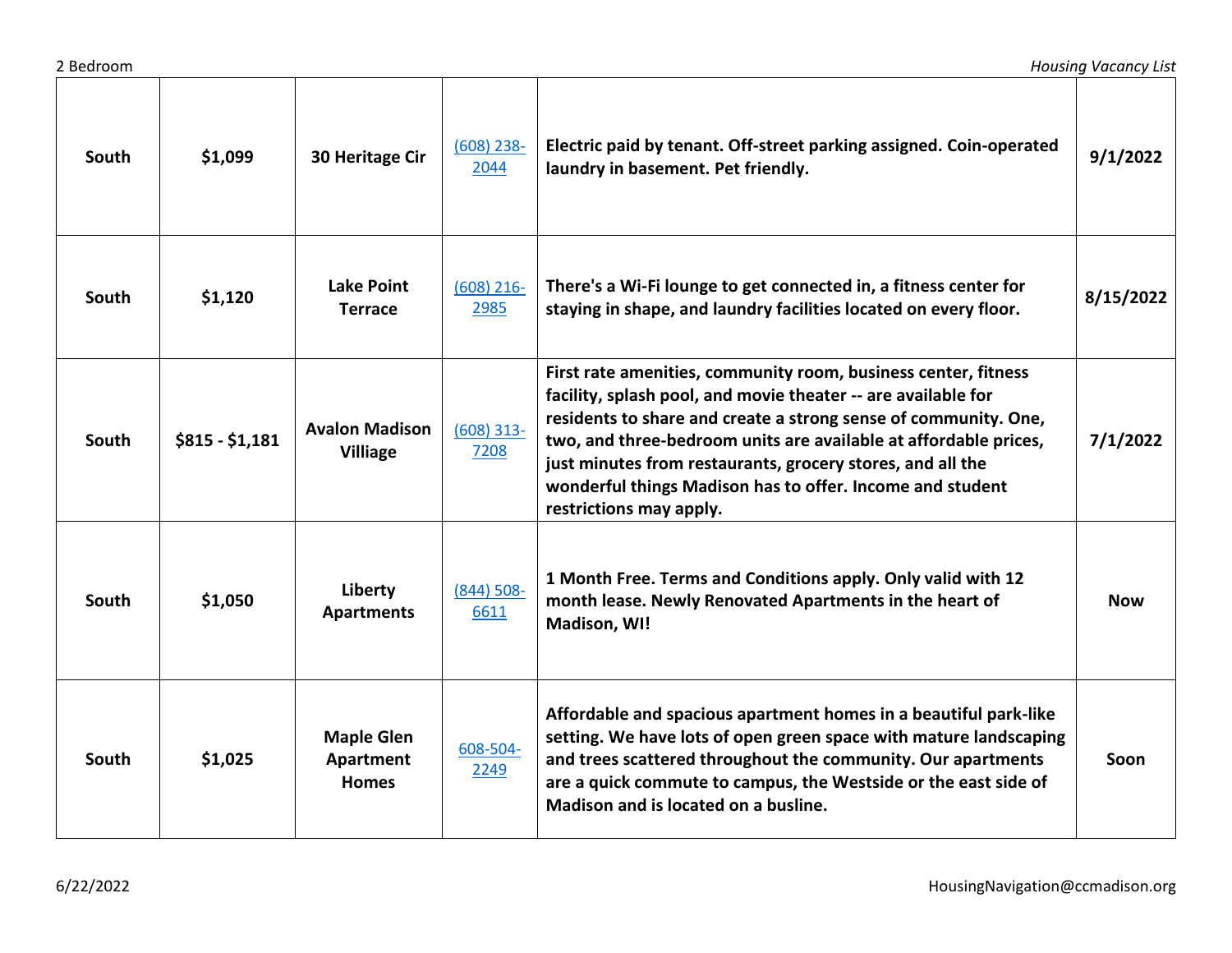| South        | \$1,099         | 30 Heritage Cir                                | $(608)$ 238-<br>2044  | Electric paid by tenant. Off-street parking assigned. Coin-operated<br>laundry in basement. Pet friendly.                                                                                                                                                                                                                                                                                                                    | 9/1/2022   |
|--------------|-----------------|------------------------------------------------|-----------------------|------------------------------------------------------------------------------------------------------------------------------------------------------------------------------------------------------------------------------------------------------------------------------------------------------------------------------------------------------------------------------------------------------------------------------|------------|
| South        | \$1,120         | <b>Lake Point</b><br><b>Terrace</b>            | $(608)$ 216-<br>2985  | There's a Wi-Fi lounge to get connected in, a fitness center for<br>staying in shape, and laundry facilities located on every floor.                                                                                                                                                                                                                                                                                         | 8/15/2022  |
| South        | $$815 - $1,181$ | <b>Avalon Madison</b><br><b>Villiage</b>       | $(608)$ 313-<br>7208  | First rate amenities, community room, business center, fitness<br>facility, splash pool, and movie theater -- are available for<br>residents to share and create a strong sense of community. One,<br>two, and three-bedroom units are available at affordable prices,<br>just minutes from restaurants, grocery stores, and all the<br>wonderful things Madison has to offer. Income and student<br>restrictions may apply. | 7/1/2022   |
| <b>South</b> | \$1,050         | Liberty<br><b>Apartments</b>                   | $(844) 508 -$<br>6611 | 1 Month Free. Terms and Conditions apply. Only valid with 12<br>month lease. Newly Renovated Apartments in the heart of<br>Madison, WI!                                                                                                                                                                                                                                                                                      | <b>Now</b> |
| South        | \$1,025         | <b>Maple Glen</b><br>Apartment<br><b>Homes</b> | 608-504-<br>2249      | Affordable and spacious apartment homes in a beautiful park-like<br>setting. We have lots of open green space with mature landscaping<br>and trees scattered throughout the community. Our apartments<br>are a quick commute to campus, the Westside or the east side of<br>Madison and is located on a busline.                                                                                                             | Soon       |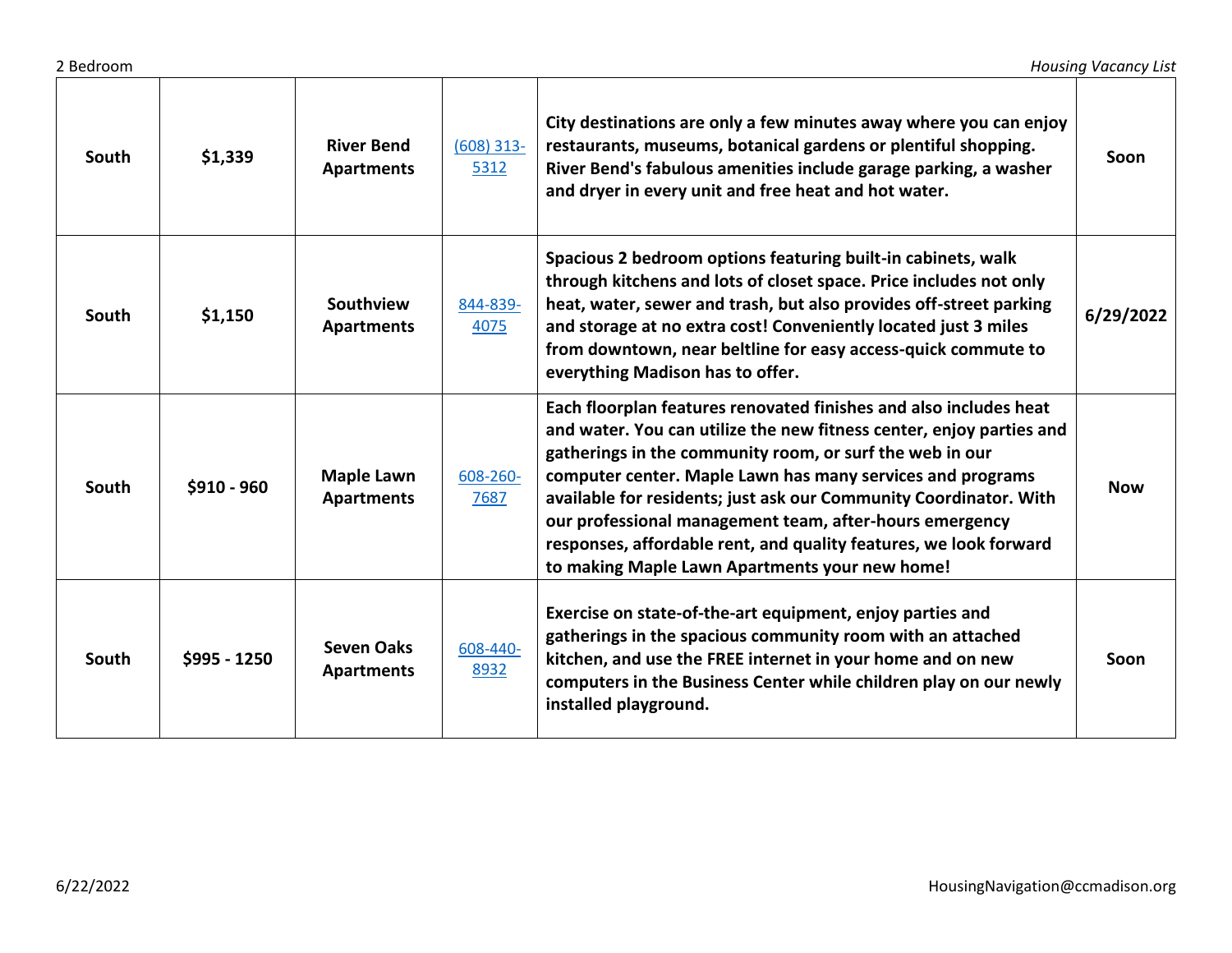| South | \$1,339      | <b>River Bend</b><br><b>Apartments</b> | $(608)$ 313-<br>5312 | City destinations are only a few minutes away where you can enjoy<br>restaurants, museums, botanical gardens or plentiful shopping.<br>River Bend's fabulous amenities include garage parking, a washer<br>and dryer in every unit and free heat and hot water.                                                                                                                                                                                                                                                            | Soon       |
|-------|--------------|----------------------------------------|----------------------|----------------------------------------------------------------------------------------------------------------------------------------------------------------------------------------------------------------------------------------------------------------------------------------------------------------------------------------------------------------------------------------------------------------------------------------------------------------------------------------------------------------------------|------------|
| South | \$1,150      | Southview<br><b>Apartments</b>         | 844-839-<br>4075     | Spacious 2 bedroom options featuring built-in cabinets, walk<br>through kitchens and lots of closet space. Price includes not only<br>heat, water, sewer and trash, but also provides off-street parking<br>and storage at no extra cost! Conveniently located just 3 miles<br>from downtown, near beltline for easy access-quick commute to<br>everything Madison has to offer.                                                                                                                                           | 6/29/2022  |
| South | \$910 - 960  | <b>Maple Lawn</b><br><b>Apartments</b> | 608-260-<br>7687     | Each floorplan features renovated finishes and also includes heat<br>and water. You can utilize the new fitness center, enjoy parties and<br>gatherings in the community room, or surf the web in our<br>computer center. Maple Lawn has many services and programs<br>available for residents; just ask our Community Coordinator. With<br>our professional management team, after-hours emergency<br>responses, affordable rent, and quality features, we look forward<br>to making Maple Lawn Apartments your new home! | <b>Now</b> |
| South | \$995 - 1250 | <b>Seven Oaks</b><br><b>Apartments</b> | 608-440-<br>8932     | Exercise on state-of-the-art equipment, enjoy parties and<br>gatherings in the spacious community room with an attached<br>kitchen, and use the FREE internet in your home and on new<br>computers in the Business Center while children play on our newly<br>installed playground.                                                                                                                                                                                                                                        | Soon       |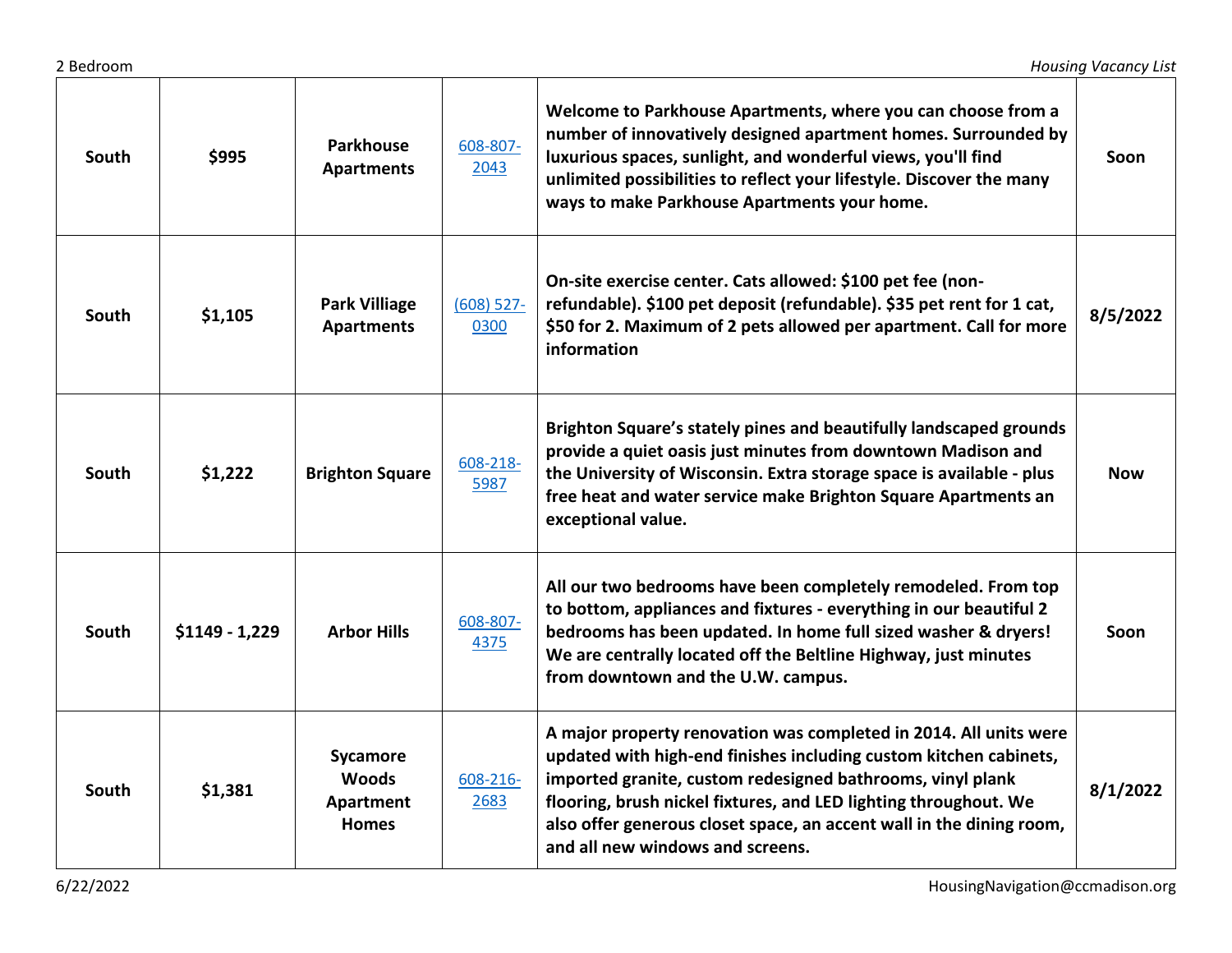| South | \$995           | <b>Parkhouse</b><br><b>Apartments</b>                 | 608-807-<br>2043     | Welcome to Parkhouse Apartments, where you can choose from a<br>number of innovatively designed apartment homes. Surrounded by<br>luxurious spaces, sunlight, and wonderful views, you'll find<br>unlimited possibilities to reflect your lifestyle. Discover the many<br>ways to make Parkhouse Apartments your home.                                                               | Soon       |
|-------|-----------------|-------------------------------------------------------|----------------------|--------------------------------------------------------------------------------------------------------------------------------------------------------------------------------------------------------------------------------------------------------------------------------------------------------------------------------------------------------------------------------------|------------|
| South | \$1,105         | <b>Park Villiage</b><br><b>Apartments</b>             | $(608)$ 527-<br>0300 | On-site exercise center. Cats allowed: \$100 pet fee (non-<br>refundable). \$100 pet deposit (refundable). \$35 pet rent for 1 cat,<br>\$50 for 2. Maximum of 2 pets allowed per apartment. Call for more<br>information                                                                                                                                                             | 8/5/2022   |
| South | \$1,222         | <b>Brighton Square</b>                                | 608-218-<br>5987     | Brighton Square's stately pines and beautifully landscaped grounds<br>provide a quiet oasis just minutes from downtown Madison and<br>the University of Wisconsin. Extra storage space is available - plus<br>free heat and water service make Brighton Square Apartments an<br>exceptional value.                                                                                   | <b>Now</b> |
| South | $$1149 - 1,229$ | <b>Arbor Hills</b>                                    | 608-807-<br>4375     | All our two bedrooms have been completely remodeled. From top<br>to bottom, appliances and fixtures - everything in our beautiful 2<br>bedrooms has been updated. In home full sized washer & dryers!<br>We are centrally located off the Beltline Highway, just minutes<br>from downtown and the U.W. campus.                                                                       | Soon       |
| South | \$1,381         | Sycamore<br><b>Woods</b><br>Apartment<br><b>Homes</b> | 608-216-<br>2683     | A major property renovation was completed in 2014. All units were<br>updated with high-end finishes including custom kitchen cabinets,<br>imported granite, custom redesigned bathrooms, vinyl plank<br>flooring, brush nickel fixtures, and LED lighting throughout. We<br>also offer generous closet space, an accent wall in the dining room,<br>and all new windows and screens. | 8/1/2022   |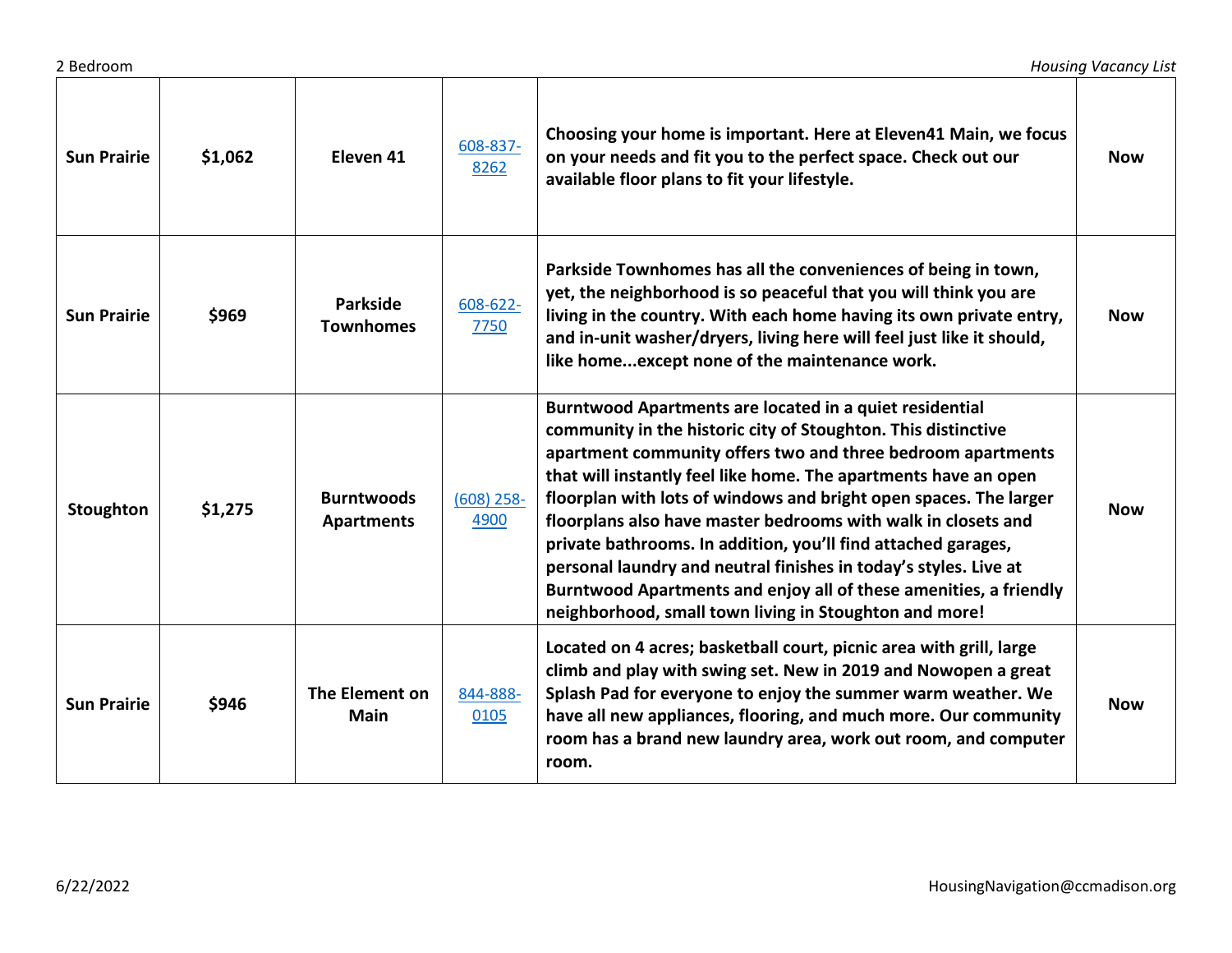| <b>Sun Prairie</b> | \$1,062 | Eleven <sub>41</sub>                   | 608-837-<br>8262     | Choosing your home is important. Here at Eleven41 Main, we focus<br>on your needs and fit you to the perfect space. Check out our<br>available floor plans to fit your lifestyle.                                                                                                                                                                                                                                                                                                                                                                                                                                                                                    | <b>Now</b> |
|--------------------|---------|----------------------------------------|----------------------|----------------------------------------------------------------------------------------------------------------------------------------------------------------------------------------------------------------------------------------------------------------------------------------------------------------------------------------------------------------------------------------------------------------------------------------------------------------------------------------------------------------------------------------------------------------------------------------------------------------------------------------------------------------------|------------|
| <b>Sun Prairie</b> | \$969   | <b>Parkside</b><br><b>Townhomes</b>    | 608-622-<br>7750     | Parkside Townhomes has all the conveniences of being in town,<br>yet, the neighborhood is so peaceful that you will think you are<br>living in the country. With each home having its own private entry,<br>and in-unit washer/dryers, living here will feel just like it should,<br>like homeexcept none of the maintenance work.                                                                                                                                                                                                                                                                                                                                   | <b>Now</b> |
| Stoughton          | \$1,275 | <b>Burntwoods</b><br><b>Apartments</b> | $(608)$ 258-<br>4900 | Burntwood Apartments are located in a quiet residential<br>community in the historic city of Stoughton. This distinctive<br>apartment community offers two and three bedroom apartments<br>that will instantly feel like home. The apartments have an open<br>floorplan with lots of windows and bright open spaces. The larger<br>floorplans also have master bedrooms with walk in closets and<br>private bathrooms. In addition, you'll find attached garages,<br>personal laundry and neutral finishes in today's styles. Live at<br>Burntwood Apartments and enjoy all of these amenities, a friendly<br>neighborhood, small town living in Stoughton and more! | <b>Now</b> |
| <b>Sun Prairie</b> | \$946   | The Element on<br><b>Main</b>          | 844-888-<br>0105     | Located on 4 acres; basketball court, picnic area with grill, large<br>climb and play with swing set. New in 2019 and Nowopen a great<br>Splash Pad for everyone to enjoy the summer warm weather. We<br>have all new appliances, flooring, and much more. Our community<br>room has a brand new laundry area, work out room, and computer<br>room.                                                                                                                                                                                                                                                                                                                  | <b>Now</b> |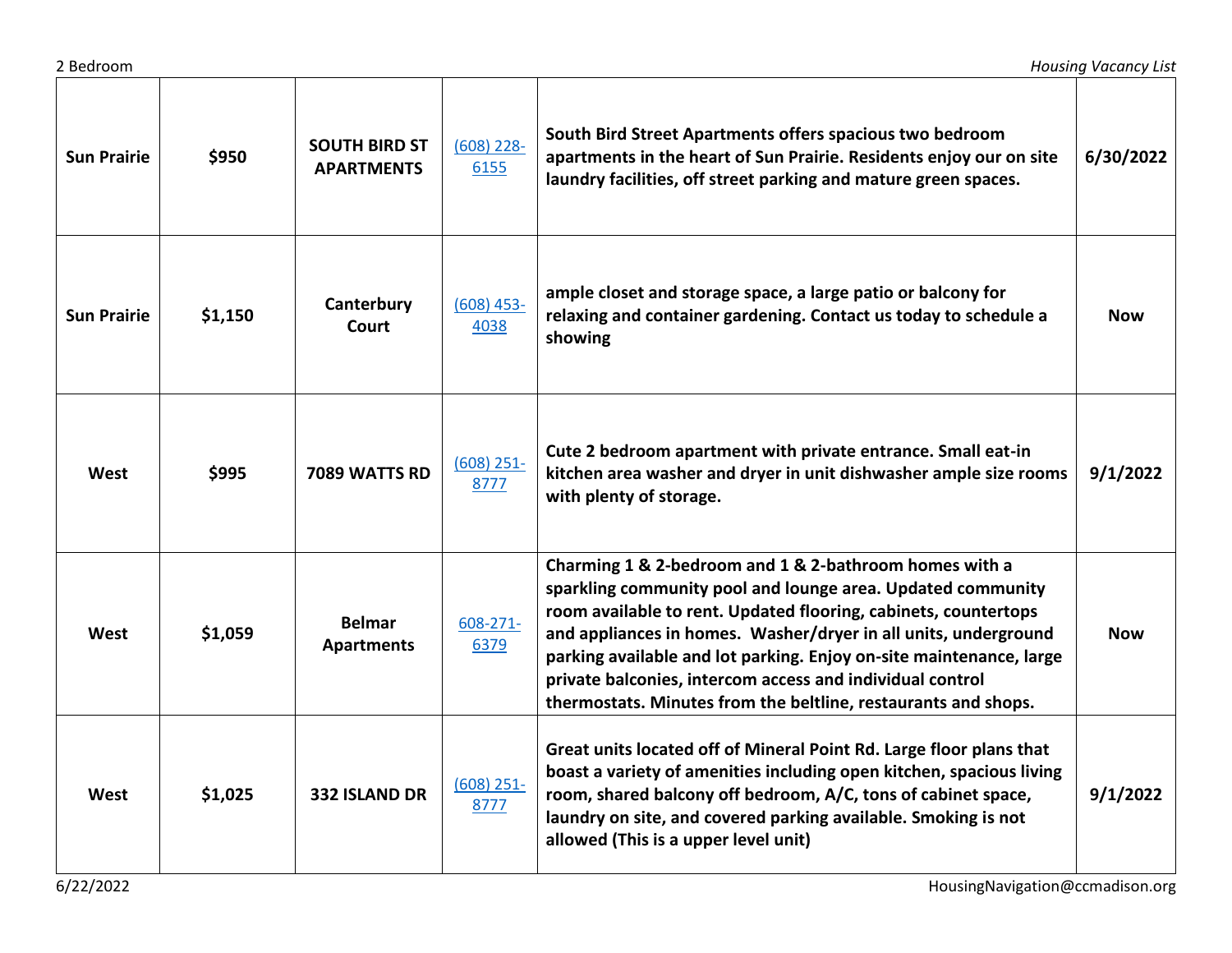| <b>Sun Prairie</b> | \$950   | <b>SOUTH BIRD ST</b><br><b>APARTMENTS</b> | $(608)$ 228-<br>6155  | South Bird Street Apartments offers spacious two bedroom<br>apartments in the heart of Sun Prairie. Residents enjoy our on site<br>laundry facilities, off street parking and mature green spaces.                                                                                                                                                                                                                                                                | 6/30/2022  |
|--------------------|---------|-------------------------------------------|-----------------------|-------------------------------------------------------------------------------------------------------------------------------------------------------------------------------------------------------------------------------------------------------------------------------------------------------------------------------------------------------------------------------------------------------------------------------------------------------------------|------------|
| <b>Sun Prairie</b> | \$1,150 | Canterbury<br>Court                       | $(608)$ 453-<br>4038  | ample closet and storage space, a large patio or balcony for<br>relaxing and container gardening. Contact us today to schedule a<br>showing                                                                                                                                                                                                                                                                                                                       | <b>Now</b> |
| West               | \$995   | 7089 WATTS RD                             | $(608)$ 251-<br>8777  | Cute 2 bedroom apartment with private entrance. Small eat-in<br>kitchen area washer and dryer in unit dishwasher ample size rooms<br>with plenty of storage.                                                                                                                                                                                                                                                                                                      | 9/1/2022   |
| West               | \$1,059 | <b>Belmar</b><br><b>Apartments</b>        | $608 - 271 -$<br>6379 | Charming 1 & 2-bedroom and 1 & 2-bathroom homes with a<br>sparkling community pool and lounge area. Updated community<br>room available to rent. Updated flooring, cabinets, countertops<br>and appliances in homes. Washer/dryer in all units, underground<br>parking available and lot parking. Enjoy on-site maintenance, large<br>private balconies, intercom access and individual control<br>thermostats. Minutes from the beltline, restaurants and shops. | <b>Now</b> |
| West               | \$1,025 | <b>332 ISLAND DR</b>                      | $(608)$ 251-<br>8777  | Great units located off of Mineral Point Rd. Large floor plans that<br>boast a variety of amenities including open kitchen, spacious living<br>room, shared balcony off bedroom, A/C, tons of cabinet space,<br>laundry on site, and covered parking available. Smoking is not<br>allowed (This is a upper level unit)                                                                                                                                            | 9/1/2022   |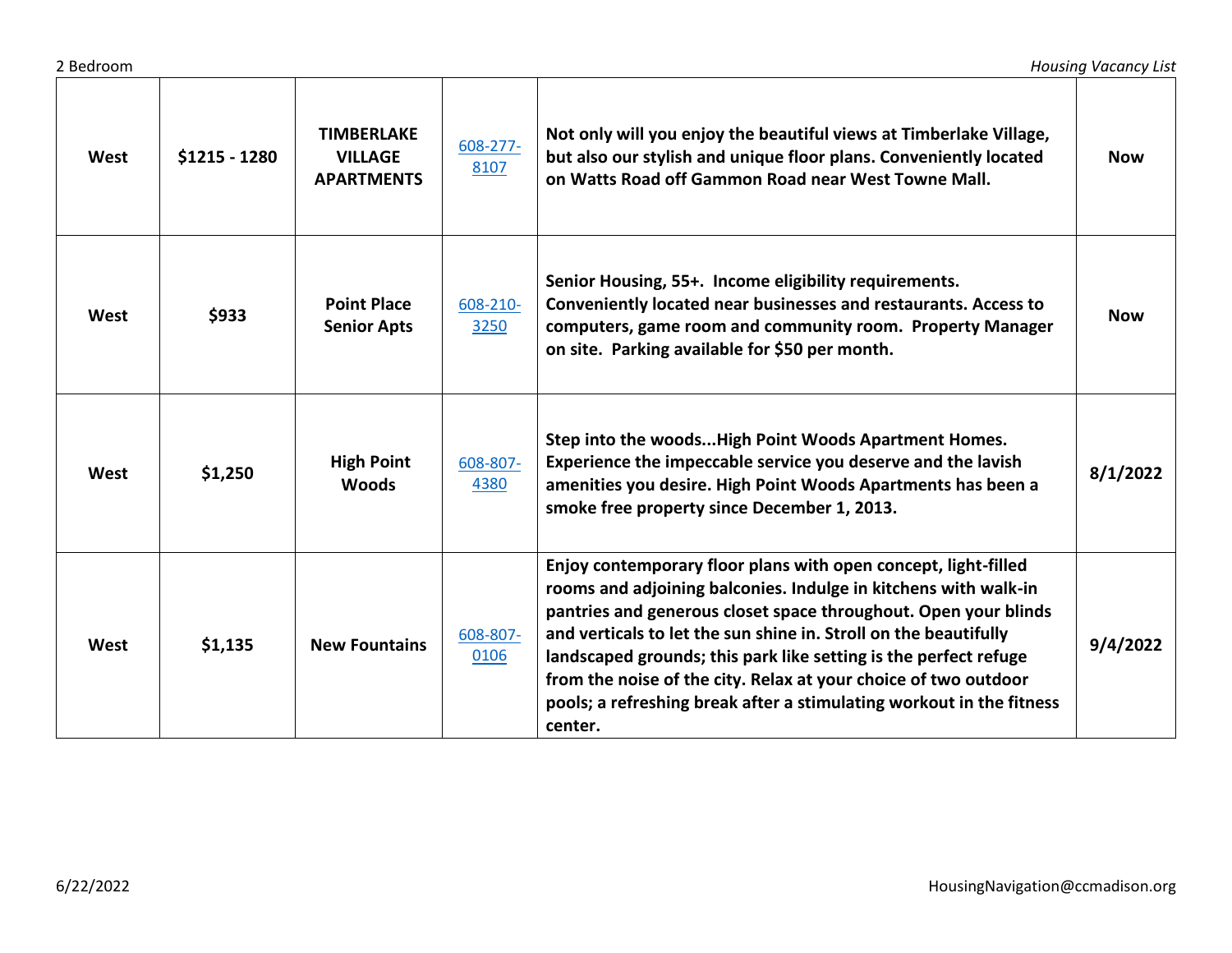| West        | \$1215 - 1280 | <b>TIMBERLAKE</b><br><b>VILLAGE</b><br><b>APARTMENTS</b> | 608-277-<br>8107 | Not only will you enjoy the beautiful views at Timberlake Village,<br>but also our stylish and unique floor plans. Conveniently located<br>on Watts Road off Gammon Road near West Towne Mall.                                                                                                                                                                                                                                                                                                     | <b>Now</b> |
|-------------|---------------|----------------------------------------------------------|------------------|----------------------------------------------------------------------------------------------------------------------------------------------------------------------------------------------------------------------------------------------------------------------------------------------------------------------------------------------------------------------------------------------------------------------------------------------------------------------------------------------------|------------|
| West        | \$933         | <b>Point Place</b><br><b>Senior Apts</b>                 | 608-210-<br>3250 | Senior Housing, 55+. Income eligibility requirements.<br>Conveniently located near businesses and restaurants. Access to<br>computers, game room and community room. Property Manager<br>on site. Parking available for \$50 per month.                                                                                                                                                                                                                                                            | <b>Now</b> |
| <b>West</b> | \$1,250       | <b>High Point</b><br><b>Woods</b>                        | 608-807-<br>4380 | Step into the woodsHigh Point Woods Apartment Homes.<br>Experience the impeccable service you deserve and the lavish<br>amenities you desire. High Point Woods Apartments has been a<br>smoke free property since December 1, 2013.                                                                                                                                                                                                                                                                | 8/1/2022   |
| West        | \$1,135       | <b>New Fountains</b>                                     | 608-807-<br>0106 | Enjoy contemporary floor plans with open concept, light-filled<br>rooms and adjoining balconies. Indulge in kitchens with walk-in<br>pantries and generous closet space throughout. Open your blinds<br>and verticals to let the sun shine in. Stroll on the beautifully<br>landscaped grounds; this park like setting is the perfect refuge<br>from the noise of the city. Relax at your choice of two outdoor<br>pools; a refreshing break after a stimulating workout in the fitness<br>center. | 9/4/2022   |